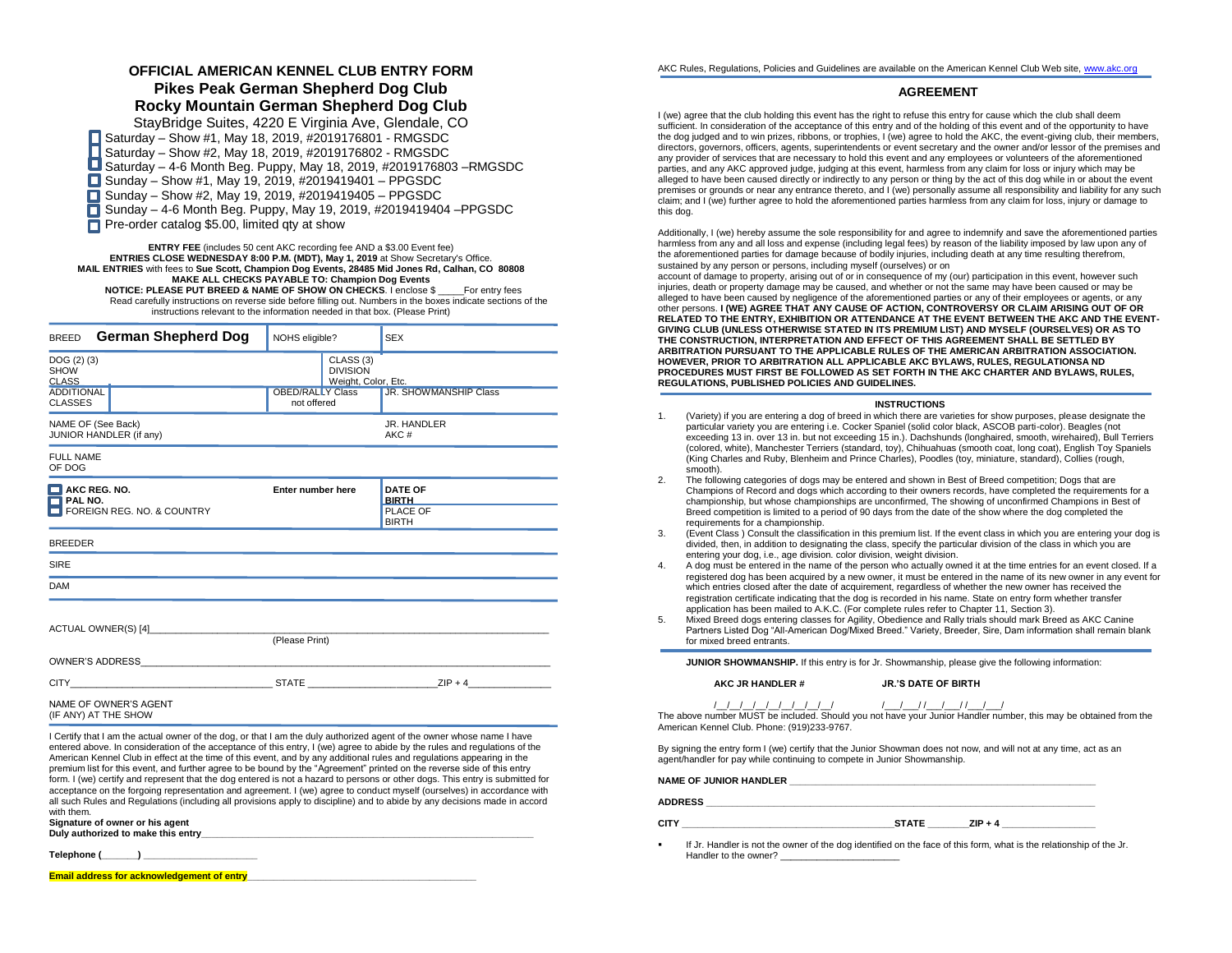# **OFFICIAL AMERICAN KENNEL CLUB ENTRY FORM Pikes Peak German Shepherd Dog Club Rocky Mountain German Shepherd Dog Club**

StayBridge Suites, 4220 E Virginia Ave, Glendale, CO ■ Saturday – Show #1, May 18, 2019, #2019176801 - RMGSDC Saturday – Show #2, May 18, 2019, #2019176802 - RMGSDC Saturday – 4-6 Month Beg. Puppy, May 18, 2019, #2019176803 –RMGSDC  $\Box$  Sunday – Show #1, May 19, 2019, #2019419401 – PPGSDC ■ Sunday – Show #2, May 19, 2019, #2019419405 – PPGSDC П Sunday – 4-6 Month Beg. Puppy, May 19, 2019, #2019419404 –PPGSDC **Pre-order catalog \$5.00, limited qty at show** 

**ENTRY FEE** (includes 50 cent AKC recording fee AND a \$3.00 Event fee) **ENTRIES CLOSE WEDNESDAY 8:00 P.M. (MDT), May 1, 2019** at Show Secretary's Office. **MAIL ENTRIES** with fees to **Sue Scott, Champion Dog Events, 28485 Mid Jones Rd, Calhan, CO 80808 MAKE ALL CHECKS PAYABLE TO: Champion Dog Events NOTICE: PLEASE PUT BREED & NAME OF SHOW ON CHECKS**. I enclose \$ \_\_\_\_\_For entry fees Read carefully instructions on reverse side before filling out. Numbers in the boxes indicate sections of the instructions relevant to the information needed in that box. (Please Print)

| German Shepherd Dog<br><b>BREED</b>                   | NOHS eligible?                                                 | <b>SEX</b>                     |
|-------------------------------------------------------|----------------------------------------------------------------|--------------------------------|
| DOG(2)(3)<br><b>SHOW</b><br><b>CLASS</b>              | CLASS <sub>(3)</sub><br><b>DIVISION</b><br>Weight, Color, Etc. |                                |
| <b>ADDITIONAL</b><br><b>CLASSES</b>                   | <b>OBED/RALLY Class</b><br>not offered                         | <b>JR. SHOWMANSHIP Class</b>   |
| NAME OF (See Back)<br>JUNIOR HANDLER (if any)         |                                                                | JR. HANDLER<br>AKC#            |
| <b>FULL NAME</b><br>OF DOG                            |                                                                |                                |
| $\blacksquare$ AKC REG. NO.<br>$\blacksquare$ PAL NO. | Enter number here                                              | <b>DATE OF</b><br><b>BIRTH</b> |
| FOREIGN REG. NO. & COUNTRY                            |                                                                | PLACE OF<br><b>BIRTH</b>       |
| <b>BREEDER</b>                                        |                                                                |                                |
| <b>SIRE</b>                                           |                                                                |                                |
| <b>DAM</b>                                            |                                                                |                                |
| ACTUAL OWNER(S) [4]                                   | (Please Print)                                                 |                                |
|                                                       |                                                                |                                |
| $CITY$ $ZIP + 4$                                      |                                                                |                                |
| NAME OF OWNER'S AGENT<br>(IF ANY) AT THE SHOW         |                                                                |                                |

I Certify that I am the actual owner of the dog, or that I am the duly authorized agent of the owner whose name I have entered above. In consideration of the acceptance of this entry, I (we) agree to abide by the rules and regulations of the American Kennel Club in effect at the time of this event, and by any additional rules and regulations appearing in the premium list for this event, and further agree to be bound by the "Agreement" printed on the reverse side of this entry form. I (we) certify and represent that the dog entered is not a hazard to persons or other dogs. This entry is submitted for acceptance on the forgoing representation and agreement. I (we) agree to conduct myself (ourselves) in accordance with all such Rules and Regulations (including all provisions apply to discipline) and to abide by any decisions made in accord with them.

**Signature of owner or his agent Duly authorized to make this entry\_\_\_\_\_\_\_\_\_\_\_\_\_\_\_\_\_\_\_\_\_\_\_\_\_\_\_\_\_\_\_\_\_\_\_\_\_\_\_\_\_\_\_\_\_\_\_\_\_\_\_\_\_\_\_\_\_\_\_\_\_\_\_\_**

**Telephone (\_\_\_\_\_\_\_) \_\_\_\_\_\_\_\_\_\_\_\_\_\_\_\_\_\_\_\_\_\_**

**Email address for acknowledgement of entry** 

AKC Rules, Regulations, Policies and Guidelines are available on the American Kennel Club Web site[, www.akc.org](http://www.akc.org/)

## **AGREEMENT**

I (we) agree that the club holding this event has the right to refuse this entry for cause which the club shall deem sufficient. In consideration of the acceptance of this entry and of the holding of this event and of the opportunity to have the dog judged and to win prizes, ribbons, or trophies, I (we) agree to hold the AKC, the event-giving club, their members, directors, governors, officers, agents, superintendents or event secretary and the owner and/or lessor of the premises and any provider of services that are necessary to hold this event and any employees or volunteers of the aforementioned parties, and any AKC approved judge, judging at this event, harmless from any claim for loss or injury which may be alleged to have been caused directly or indirectly to any person or thing by the act of this dog while in or about the event premises or grounds or near any entrance thereto, and I (we) personally assume all responsibility and liability for any such claim; and I (we) further agree to hold the aforementioned parties harmless from any claim for loss, injury or damage to this dog.

Additionally, I (we) hereby assume the sole responsibility for and agree to indemnify and save the aforementioned parties harmless from any and all loss and expense (including legal fees) by reason of the liability imposed by law upon any of the aforementioned parties for damage because of bodily injuries, including death at any time resulting therefrom, sustained by any person or persons, including myself (ourselves) or on

account of damage to property, arising out of or in consequence of my (our) participation in this event, however such injuries, death or property damage may be caused, and whether or not the same may have been caused or may be alleged to have been caused by negligence of the aforementioned parties or any of their employees or agents, or any other persons. **I (WE) AGREE THAT ANY CAUSE OF ACTION, CONTROVERSY OR CLAIM ARISING OUT OF OR RELATED TO THE ENTRY, EXHIBITION OR ATTENDANCE AT THE EVENT BETWEEN THE AKC AND THE EVENT-GIVING CLUB (UNLESS OTHERWISE STATED IN ITS PREMIUM LIST) AND MYSELF (OURSELVES) OR AS TO THE CONSTRUCTION, INTERPRETATION AND EFFECT OF THIS AGREEMENT SHALL BE SETTLED BY ARBITRATION PURSUANT TO THE APPLICABLE RULES OF THE AMERICAN ARBITRATION ASSOCIATION. HOWEVER, PRIOR TO ARBITRATION ALL APPLICABLE AKC BYLAWS, RULES, REGULATIONSA ND PROCEDURES MUST FIRST BE FOLLOWED AS SET FORTH IN THE AKC CHARTER AND BYLAWS, RULES, REGULATIONS, PUBLISHED POLICIES AND GUIDELINES.**

## **INSTRUCTIONS**

- 1. (Variety) if you are entering a dog of breed in which there are varieties for show purposes, please designate the particular variety you are entering i.e. Cocker Spaniel (solid color black, ASCOB parti-color). Beagles (not exceeding 13 in. over 13 in. but not exceeding 15 in.). Dachshunds (longhaired, smooth, wirehaired), Bull Terriers (colored, white), Manchester Terriers (standard, toy), Chihuahuas (smooth coat, long coat), English Toy Spaniels (King Charles and Ruby, Blenheim and Prince Charles), Poodles (toy, miniature, standard), Collies (rough, smooth).
- 2. The following categories of dogs may be entered and shown in Best of Breed competition; Dogs that are Champions of Record and dogs which according to their owners records, have completed the requirements for a championship, but whose championships are unconfirmed, The showing of unconfirmed Champions in Best of Breed competition is limited to a period of 90 days from the date of the show where the dog completed the requirements for a championship.
- 3. (Event Class ) Consult the classification in this premium list. If the event class in which you are entering your dog is divided, then, in addition to designating the class, specify the particular division of the class in which you are entering your dog, i.e., age division. color division, weight division.
- 4. A dog must be entered in the name of the person who actually owned it at the time entries for an event closed. If a registered dog has been acquired by a new owner, it must be entered in the name of its new owner in any event for which entries closed after the date of acquirement, regardless of whether the new owner has received the registration certificate indicating that the dog is recorded in his name. State on entry form whether transfer application has been mailed to A.K.C. (For complete rules refer to Chapter 11, Section 3).
- 5. Mixed Breed dogs entering classes for Agility, Obedience and Rally trials should mark Breed as AKC Canine Partners Listed Dog "All-American Dog/Mixed Breed." Variety, Breeder, Sire, Dam information shall remain blank for mixed breed entrants.

**JUNIOR SHOWMANSHIP.** If this entry is for Jr. Showmanship, please give the following information:

**AKC JR HANDLER # JR.'S DATE OF BIRTH**

## /\_\_/\_\_/\_\_/\_\_/\_\_/\_\_/\_\_/\_\_/\_\_/ /\_\_\_/\_\_\_/ /\_\_\_/\_\_\_/ /\_\_\_/\_\_\_/

The above number MUST be included. Should you not have your Junior Handler number, this may be obtained from the American Kennel Club. Phone: (919)233-9767.

By signing the entry form I (we) certify that the Junior Showman does not now, and will not at any time, act as an agent/handler for pay while continuing to compete in Junior Showmanship.

NAME OF JUNIOR HANDLER

**ADDRESS \_\_\_\_\_\_\_\_\_\_\_\_\_\_\_\_\_\_\_\_\_\_\_\_\_\_\_\_\_\_\_\_\_\_\_\_\_\_\_\_\_\_\_\_\_\_\_\_\_\_\_\_\_\_\_\_\_\_\_\_\_\_\_\_\_\_\_\_\_\_\_\_\_\_\_**

**CITY \_\_\_\_\_\_\_\_\_\_\_\_\_\_\_\_\_\_\_\_\_\_\_\_\_\_\_\_\_\_\_\_\_\_\_\_\_\_\_\_\_STATE \_\_\_\_\_\_\_\_ZIP + 4 \_\_\_\_\_\_\_\_\_\_\_\_\_\_\_\_\_\_**

▪ If Jr. Handler is not the owner of the dog identified on the face of this form, what is the relationship of the Jr. Handler to the owner?